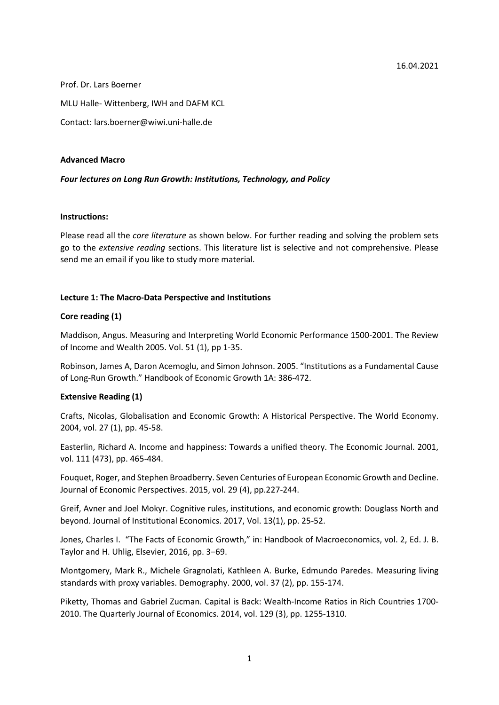Prof. Dr. Lars Boerner MLU Halle- Wittenberg, IWH and DAFM KCL Contact: lars.boerner@wiwi.uni-halle.de

### **Advanced Macro**

## *Four lectures on Long Run Growth: Institutions, Technology, and Policy*

## **Instructions:**

Please read all the *core literature* as shown below. For further reading and solving the problem sets go to the *extensive reading* sections. This literature list is selective and not comprehensive. Please send me an email if you like to study more material.

# **Lecture 1: The Macro-Data Perspective and Institutions**

# **Core reading (1)**

Maddison, Angus. Measuring and Interpreting World Economic Performance 1500-2001. The Review of Income and Wealth 2005. Vol. 51 (1), pp 1-35.

Robinson, James A, Daron Acemoglu, and Simon Johnson. 2005. "Institutions as a Fundamental Cause of Long-Run Growth." Handbook of Economic Growth 1A: 386-472.

## **Extensive Reading (1)**

Crafts, Nicolas, Globalisation and Economic Growth: A Historical Perspective. The World Economy. 2004, vol. 27 (1), pp. 45-58.

Easterlin, Richard A. Income and happiness: Towards a unified theory. The Economic Journal. 2001, vol. 111 (473), pp. 465-484.

Fouquet, Roger, and Stephen Broadberry. Seven Centuries of European Economic Growth and Decline. Journal of Economic Perspectives. 2015, vol. 29 (4), pp.227-244.

Greif, Avner and Joel Mokyr. Cognitive rules, institutions, and economic growth: Douglass North and beyond. Journal of Institutional Economics. 2017, Vol. 13(1), pp. 25-52.

Jones, Charles I. "The Facts of Economic Growth," in: Handbook of Macroeconomics, vol. 2, Ed. J. B. Taylor and H. Uhlig, Elsevier, 2016, pp. 3–69.

Montgomery, Mark R., Michele Gragnolati, Kathleen A. Burke, Edmundo Paredes. Measuring living standards with proxy variables. Demography. 2000, vol. 37 (2), pp. 155-174.

Piketty, Thomas and Gabriel Zucman. Capital is Back: Wealth-Income Ratios in Rich Countries 1700- 2010. The Quarterly Journal of Economics. 2014, vol. 129 (3), pp. 1255-1310.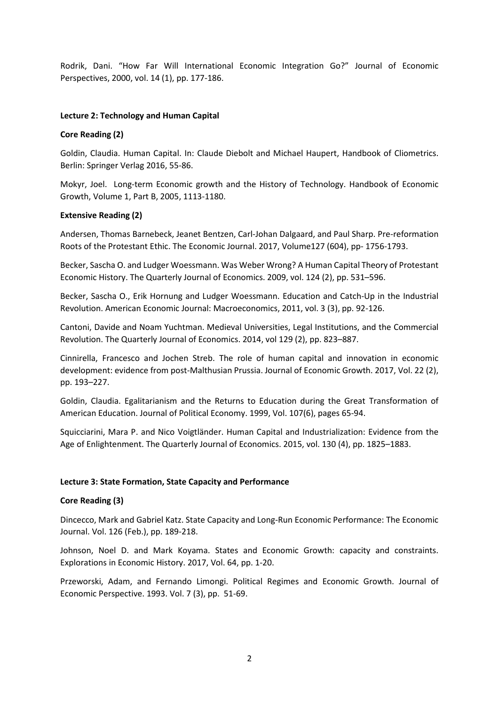Rodrik, Dani. "How Far Will International Economic Integration Go?" Journal of Economic Perspectives, 2000, vol. 14 (1), pp. 177-186.

## **Lecture 2: Technology and Human Capital**

### **Core Reading (2)**

Goldin, Claudia. Human Capital. In: Claude Diebolt and Michael Haupert, Handbook of Cliometrics. Berlin: Springer Verlag 2016, 55-86.

Mokyr, Joel. Long-term Economic growth and the History of Technology. Handbook of Economic Growth, Volume 1, Part B, 2005, 1113-1180.

### **Extensive Reading (2)**

Andersen, Thomas Barnebeck, Jeanet Bentzen, Carl-Johan Dalgaard, and Paul Sharp. Pre-reformation Roots of the Protestant Ethic. The Economic Journal. 2017, Volume127 (604), pp- 1756-1793.

Becker, Sascha O. and Ludger Woessmann. Was Weber Wrong? A Human Capital Theory of Protestant Economic History. The Quarterly Journal of Economics. 2009, vol. 124 (2), pp. 531–596.

Becker, Sascha O., Erik Hornung and Ludger Woessmann. Education and Catch-Up in the Industrial Revolution. American Economic Journal: Macroeconomics, 2011, vol. 3 (3), pp. 92-126.

Cantoni, Davide and Noam Yuchtman. Medieval Universities, Legal Institutions, and the Commercial Revolution. The Quarterly Journal of Economics. 2014, vol 129 (2), pp. 823–887.

Cinnirella, Francesco and Jochen Streb. The role of human capital and innovation in economic development: evidence from post-Malthusian Prussia. Journal of Economic Growth. 2017, Vol. 22 (2), pp. 193–227.

Goldin, Claudia. Egalitarianism and the Returns to Education during the Great Transformation of American Education. Journal of Political Economy. 1999, Vol. 107(6), pages 65-94.

Squicciarini, Mara P. and Nico Voigtländer. Human Capital and Industrialization: Evidence from the Age of Enlightenment. The Quarterly Journal of Economics. 2015, vol. 130 (4), pp. 1825–1883.

#### **Lecture 3: State Formation, State Capacity and Performance**

#### **Core Reading (3)**

Dincecco, Mark and Gabriel Katz. State Capacity and Long-Run Economic Performance: The Economic Journal. Vol. 126 (Feb.), pp. 189-218.

Johnson, Noel D. and Mark Koyama. States and Economic Growth: capacity and constraints. Explorations in Economic History. 2017, Vol. 64, pp. 1-20.

Przeworski, Adam, and Fernando Limongi. Political Regimes and Economic Growth. Journal of Economic Perspective. 1993. Vol. 7 (3), pp. 51-69.